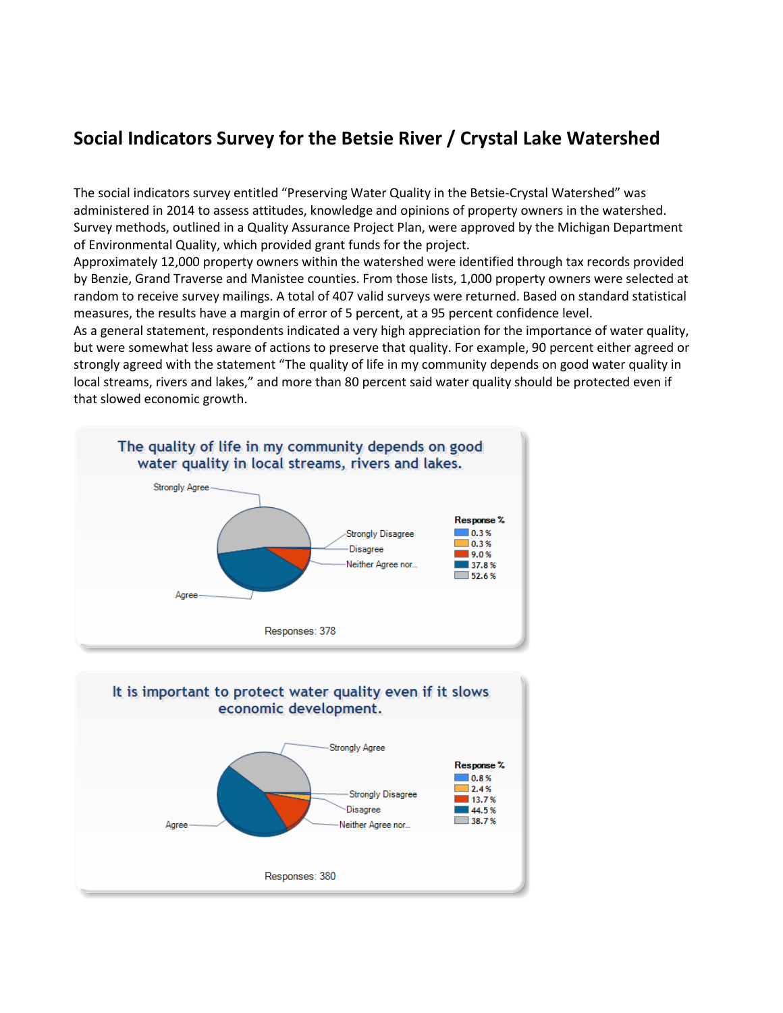#### **Social Indicators Survey for the Betsie River / Crystal Lake Watershed**

The social indicators survey entitled "Preserving Water Quality in the Betsie-Crystal Watershed" was administered in 2014 to assess attitudes, knowledge and opinions of property owners in the watershed. Survey methods, outlined in a Quality Assurance Project Plan, were approved by the Michigan Department of Environmental Quality, which provided grant funds for the project.

Approximately 12,000 property owners within the watershed were identified through tax records provided by Benzie, Grand Traverse and Manistee counties. From those lists, 1,000 property owners were selected at random to receive survey mailings. A total of 407 valid surveys were returned. Based on standard statistical measures, the results have a margin of error of 5 percent, at a 95 percent confidence level.

As a general statement, respondents indicated a very high appreciation for the importance of water quality, but were somewhat less aware of actions to preserve that quality. For example, 90 percent either agreed or strongly agreed with the statement "The quality of life in my community depends on good water quality in local streams, rivers and lakes," and more than 80 percent said water quality should be protected even if that slowed economic growth.



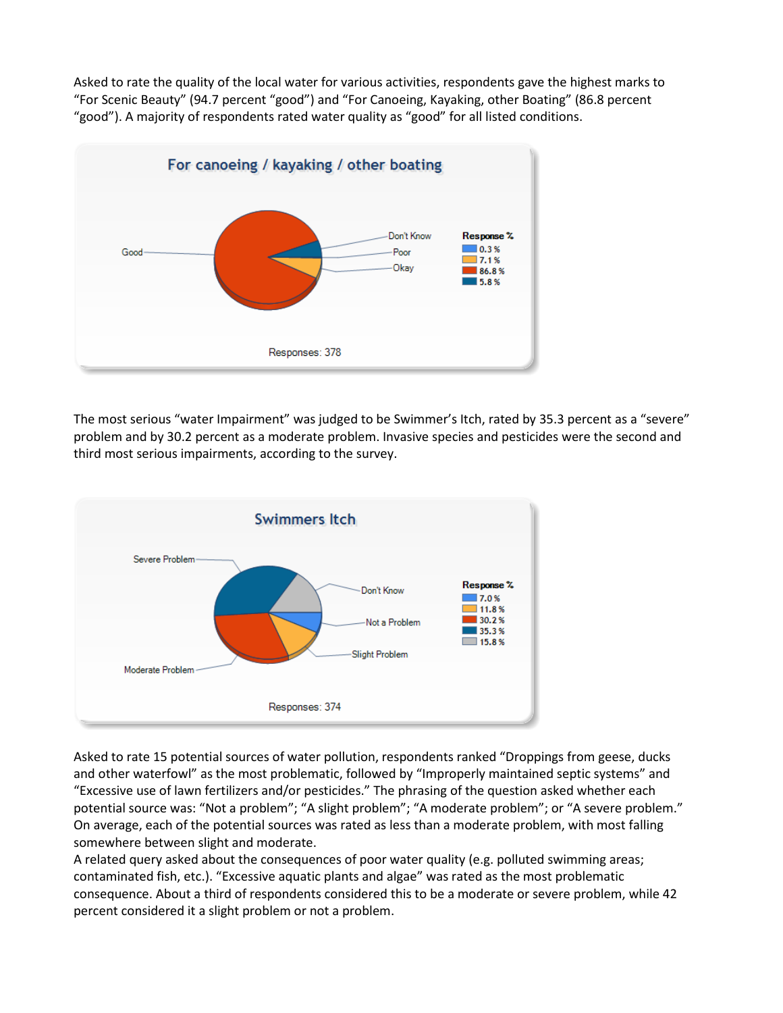Asked to rate the quality of the local water for various activities, respondents gave the highest marks to "For Scenic Beauty" (94.7 percent "good") and "For Canoeing, Kayaking, other Boating" (86.8 percent "good"). A majority of respondents rated water quality as "good" for all listed conditions.



The most serious "water Impairment" was judged to be Swimmer's Itch, rated by 35.3 percent as a "severe" problem and by 30.2 percent as a moderate problem. Invasive species and pesticides were the second and third most serious impairments, according to the survey.



Asked to rate 15 potential sources of water pollution, respondents ranked "Droppings from geese, ducks and other waterfowl" as the most problematic, followed by "Improperly maintained septic systems" and "Excessive use of lawn fertilizers and/or pesticides." The phrasing of the question asked whether each potential source was: "Not a problem"; "A slight problem"; "A moderate problem"; or "A severe problem." On average, each of the potential sources was rated as less than a moderate problem, with most falling somewhere between slight and moderate.

A related query asked about the consequences of poor water quality (e.g. polluted swimming areas; contaminated fish, etc.). "Excessive aquatic plants and algae" was rated as the most problematic consequence. About a third of respondents considered this to be a moderate or severe problem, while 42 percent considered it a slight problem or not a problem.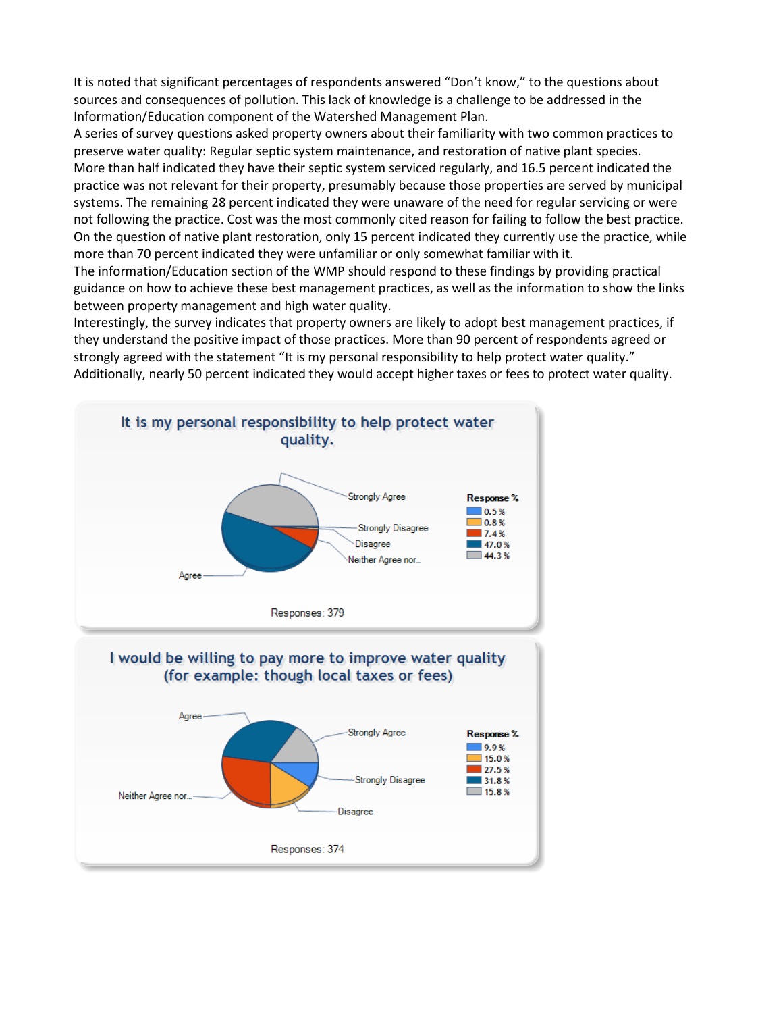It is noted that significant percentages of respondents answered "Don't know," to the questions about sources and consequences of pollution. This lack of knowledge is a challenge to be addressed in the Information/Education component of the Watershed Management Plan.

A series of survey questions asked property owners about their familiarity with two common practices to preserve water quality: Regular septic system maintenance, and restoration of native plant species. More than half indicated they have their septic system serviced regularly, and 16.5 percent indicated the practice was not relevant for their property, presumably because those properties are served by municipal systems. The remaining 28 percent indicated they were unaware of the need for regular servicing or were not following the practice. Cost was the most commonly cited reason for failing to follow the best practice. On the question of native plant restoration, only 15 percent indicated they currently use the practice, while more than 70 percent indicated they were unfamiliar or only somewhat familiar with it.

The information/Education section of the WMP should respond to these findings by providing practical guidance on how to achieve these best management practices, as well as the information to show the links between property management and high water quality.

Interestingly, the survey indicates that property owners are likely to adopt best management practices, if they understand the positive impact of those practices. More than 90 percent of respondents agreed or strongly agreed with the statement "It is my personal responsibility to help protect water quality." Additionally, nearly 50 percent indicated they would accept higher taxes or fees to protect water quality.

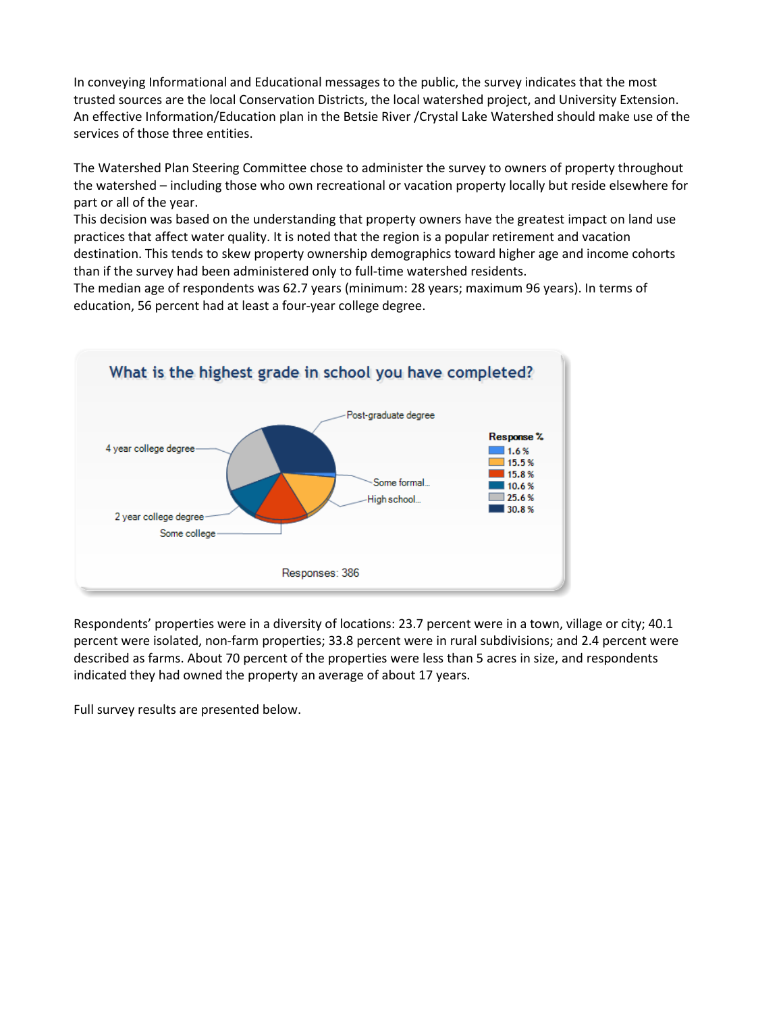In conveying Informational and Educational messages to the public, the survey indicates that the most trusted sources are the local Conservation Districts, the local watershed project, and University Extension. An effective Information/Education plan in the Betsie River /Crystal Lake Watershed should make use of the services of those three entities.

The Watershed Plan Steering Committee chose to administer the survey to owners of property throughout the watershed – including those who own recreational or vacation property locally but reside elsewhere for part or all of the year.

This decision was based on the understanding that property owners have the greatest impact on land use practices that affect water quality. It is noted that the region is a popular retirement and vacation destination. This tends to skew property ownership demographics toward higher age and income cohorts than if the survey had been administered only to full-time watershed residents.

The median age of respondents was 62.7 years (minimum: 28 years; maximum 96 years). In terms of education, 56 percent had at least a four-year college degree.



Respondents' properties were in a diversity of locations: 23.7 percent were in a town, village or city; 40.1 percent were isolated, non-farm properties; 33.8 percent were in rural subdivisions; and 2.4 percent were described as farms. About 70 percent of the properties were less than 5 acres in size, and respondents indicated they had owned the property an average of about 17 years.

Full survey results are presented below.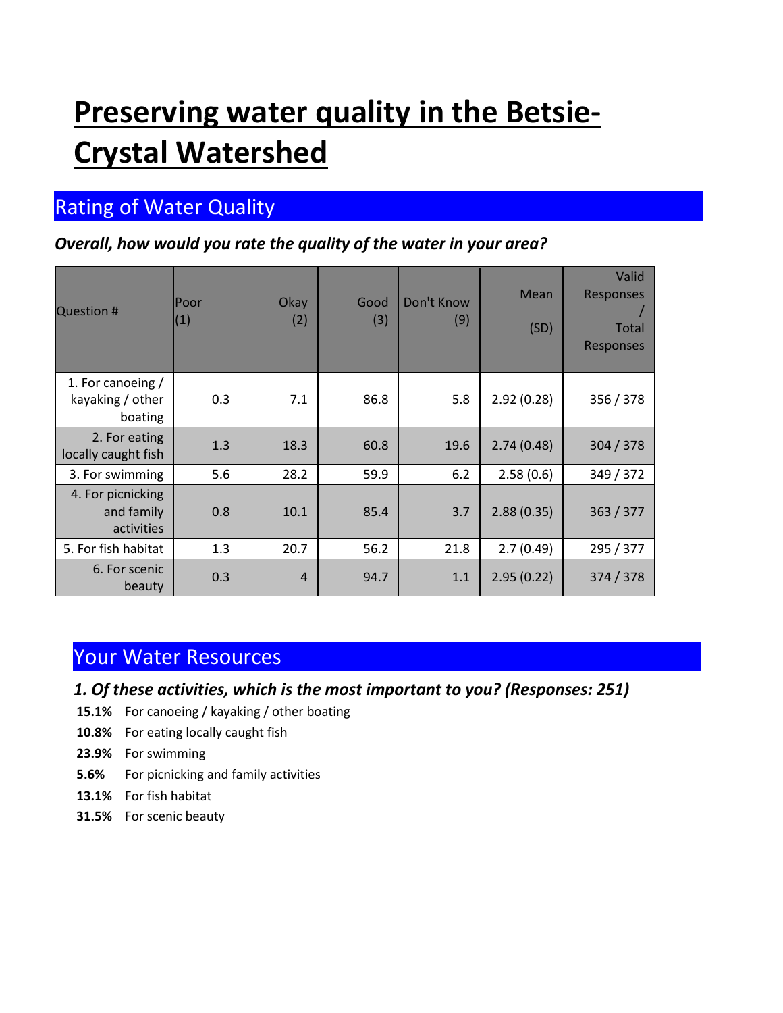# **Preserving water quality in the Betsie-Crystal Watershed**

# **Rating of Water Quality**

#### *Overall, how would you rate the quality of the water in your area?*

| <b>Question #</b>                                | Poor<br>(1) | Okay<br>(2)    | Good<br>(3) | Don't Know<br>(9) | Mean<br>(SD) | Valid<br>Responses<br>Total<br>Responses |
|--------------------------------------------------|-------------|----------------|-------------|-------------------|--------------|------------------------------------------|
| 1. For canoeing /<br>kayaking / other<br>boating | 0.3         | 7.1            | 86.8        | 5.8               | 2.92(0.28)   | 356 / 378                                |
| 2. For eating<br>locally caught fish             | 1.3         | 18.3           | 60.8        | 19.6              | 2.74(0.48)   | 304 / 378                                |
| 3. For swimming                                  | 5.6         | 28.2           | 59.9        | 6.2               | 2.58(0.6)    | 349 / 372                                |
| 4. For picnicking<br>and family<br>activities    | 0.8         | 10.1           | 85.4        | 3.7               | 2.88(0.35)   | 363 / 377                                |
| 5. For fish habitat                              | 1.3         | 20.7           | 56.2        | 21.8              | 2.7(0.49)    | 295 / 377                                |
| 6. For scenic<br>beauty                          | 0.3         | $\overline{4}$ | 94.7        | 1.1               | 2.95(0.22)   | 374 / 378                                |

### Your Water Resources

- *1. Of these activities, which is the most important to you? (Responses: 251)*
- **15.1%** For canoeing / kayaking / other boating
- **10.8%** For eating locally caught fish
- **23.9%** For swimming
- **5.6%** For picnicking and family activities
- **13.1%** For fish habitat
- **31.5%** For scenic beauty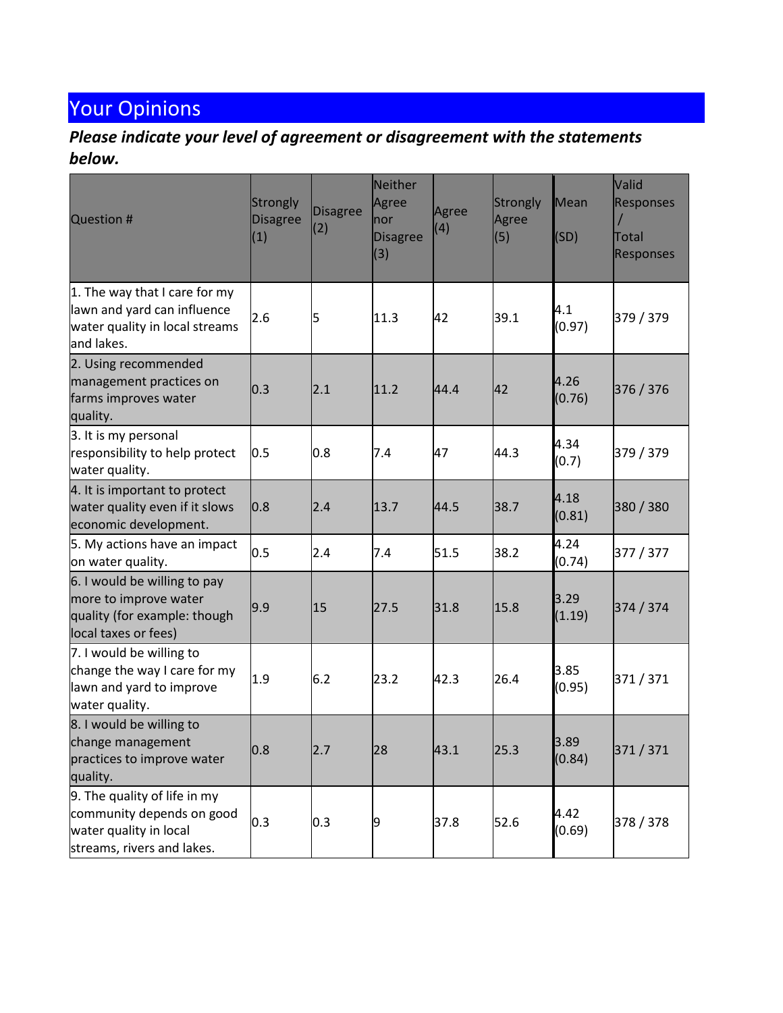# Your Opinions

#### *Please indicate your level of agreement or disagreement with the statements below.*

| <b>Question #</b>                                                                                                 | Strongly<br><b>Disagree</b><br>(1) | <b>Disagree</b><br>(2) | Neither<br>Agree<br>nor<br><b>Disagree</b><br>(3) | Agree<br>(4) | Strongly<br>Agree<br>(5) | <b>Mean</b><br>(SD) | Valid<br><b>Responses</b><br>Total<br><b>Responses</b> |
|-------------------------------------------------------------------------------------------------------------------|------------------------------------|------------------------|---------------------------------------------------|--------------|--------------------------|---------------------|--------------------------------------------------------|
| 1. The way that I care for my<br>lawn and yard can influence<br>water quality in local streams<br>land lakes.     | 2.6                                | 5                      | 11.3                                              | 42           | 39.1                     | 4.1<br>(0.97)       | 379 / 379                                              |
| 2. Using recommended<br>management practices on<br>farms improves water<br>quality.                               | 0.3                                | 2.1                    | 11.2                                              | 44.4         | 42                       | 4.26<br>(0.76)      | 376 / 376                                              |
| 3. It is my personal<br>responsibility to help protect<br>water quality.                                          | 0.5                                | 0.8                    | 7.4                                               | 47           | 44.3                     | 4.34<br>(0.7)       | 379 / 379                                              |
| 4. It is important to protect<br>water quality even if it slows<br>economic development.                          | 0.8                                | 2.4                    | 13.7                                              | 44.5         | 38.7                     | 4.18<br>(0.81)      | 380 / 380                                              |
| 5. My actions have an impact<br>on water quality.                                                                 | 0.5                                | 2.4                    | 7.4                                               | 51.5         | 38.2                     | 4.24<br>(0.74)      | 377 / 377                                              |
| 6. I would be willing to pay<br>more to improve water<br>quality (for example: though<br>local taxes or fees)     | 9.9                                | 15                     | 27.5                                              | 31.8         | 15.8                     | 3.29<br>(1.19)      | 374 / 374                                              |
| 7. I would be willing to<br>change the way I care for my<br>lawn and yard to improve<br>water quality.            | 1.9                                | 6.2                    | 23.2                                              | 42.3         | 26.4                     | 3.85<br>(0.95)      | 371/371                                                |
| 8. I would be willing to<br>change management<br>practices to improve water<br>quality.                           | 0.8                                | 2.7                    | 28                                                | 43.1         | 25.3                     | 3.89<br>(0.84)      | 371 / 371                                              |
| 9. The quality of life in my<br>community depends on good<br>water quality in local<br>streams, rivers and lakes. | 0.3                                | 0.3                    | 9                                                 | 37.8         | 52.6                     | 4.42<br>(0.69)      | 378 / 378                                              |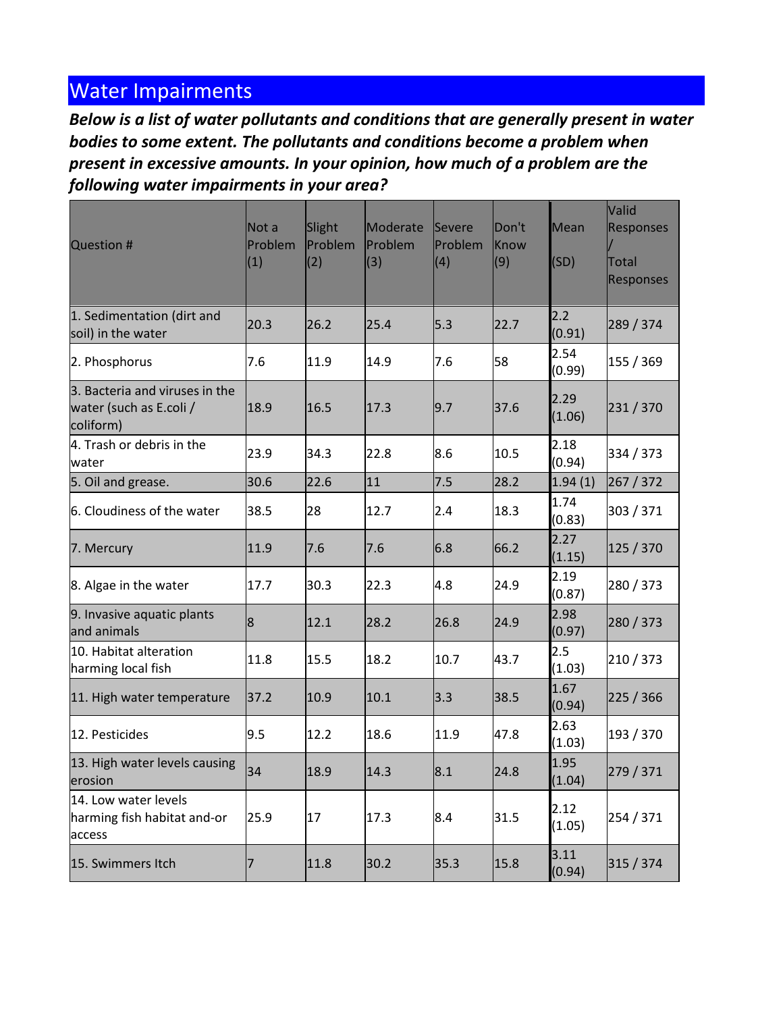## Water Impairments

*Below is a list of water pollutants and conditions that are generally present in water bodies to some extent. The pollutants and conditions become a problem when present in excessive amounts. In your opinion, how much of a problem are the following water impairments in your area?*

| <b>Question #</b>                                                      | Not a<br>Problem<br>(1) | Slight<br>Problem<br>(2) | Moderate<br>Problem<br>(3) | Severe<br>Problem<br>(4) | Don't<br>Know<br>(9) | Mean<br>(SD)   | Valid<br><b>Responses</b><br>Total<br><b>Responses</b> |
|------------------------------------------------------------------------|-------------------------|--------------------------|----------------------------|--------------------------|----------------------|----------------|--------------------------------------------------------|
| 1. Sedimentation (dirt and<br>soil) in the water                       | 20.3                    | 26.2                     | 25.4                       | 5.3                      | 22.7                 | 2.2<br>(0.91)  | 289 / 374                                              |
| 2. Phosphorus                                                          | 7.6                     | 11.9                     | 14.9                       | 7.6                      | 58                   | 2.54<br>(0.99) | 155 / 369                                              |
| 3. Bacteria and viruses in the<br>water (such as E.coli /<br>coliform) | 18.9                    | 16.5                     | 17.3                       | 9.7                      | 37.6                 | 2.29<br>(1.06) | 231/370                                                |
| 4. Trash or debris in the<br>water                                     | 23.9                    | 34.3                     | 22.8                       | 8.6                      | 10.5                 | 2.18<br>(0.94) | 334 / 373                                              |
| 5. Oil and grease.                                                     | 30.6                    | 22.6                     | 11                         | 7.5                      | 28.2                 | 1.94(1)        | 267 / 372                                              |
| 6. Cloudiness of the water                                             | 38.5                    | 28                       | 12.7                       | 2.4                      | 18.3                 | 1.74<br>(0.83) | 303 / 371                                              |
| 7. Mercury                                                             | 11.9                    | 7.6                      | 7.6                        | 6.8                      | 66.2                 | 2.27<br>(1.15) | 125 / 370                                              |
| 8. Algae in the water                                                  | 17.7                    | 30.3                     | 22.3                       | 4.8                      | 24.9                 | 2.19<br>(0.87) | 280 / 373                                              |
| 9. Invasive aquatic plants<br>and animals                              | 8                       | 12.1                     | 28.2                       | 26.8                     | 24.9                 | 2.98<br>(0.97) | 280 / 373                                              |
| 10. Habitat alteration<br>harming local fish                           | 11.8                    | 15.5                     | 18.2                       | 10.7                     | 43.7                 | 2.5<br>(1.03)  | 210 / 373                                              |
| 11. High water temperature                                             | 37.2                    | 10.9                     | 10.1                       | 3.3                      | 38.5                 | 1.67<br>(0.94) | 225 / 366                                              |
| 12. Pesticides                                                         | 9.5                     | 12.2                     | 18.6                       | 11.9                     | 47.8                 | 2.63<br>(1.03) | 193 / 370                                              |
| 13. High water levels causing<br>erosion                               | 34                      | 18.9                     | 14.3                       | 8.1                      | 24.8                 | 1.95<br>(1.04) | 279 / 371                                              |
| 14. Low water levels<br>harming fish habitat and-or<br>access          | 25.9                    | 17                       | 17.3                       | 8.4                      | 31.5                 | 2.12<br>(1.05) | 254 / 371                                              |
| 15. Swimmers Itch                                                      | 7                       | 11.8                     | 30.2                       | 35.3                     | 15.8                 | 3.11<br>(0.94) | 315 / 374                                              |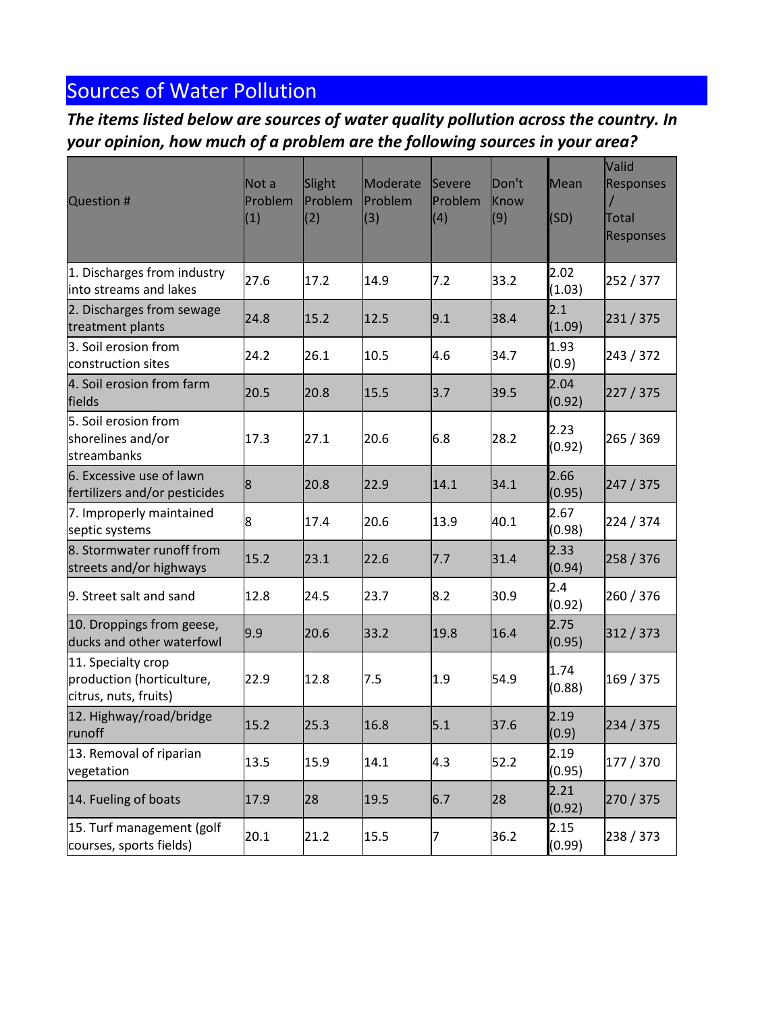# Sources of Water Pollution

*The items listed below are sources of water quality pollution across the country. In your opinion, how much of a problem are the following sources in your area?*

| <b>Question #</b>                                                        | Not a<br>Problem<br>(1) | Slight<br>Problem<br>(2) | Moderate<br>Problem<br>(3) | Severe<br>Problem<br>(4) | Don't<br>Know<br>(9) | Mean<br>(SD)   | Valid<br><b>Responses</b><br>Total<br><b>Responses</b> |
|--------------------------------------------------------------------------|-------------------------|--------------------------|----------------------------|--------------------------|----------------------|----------------|--------------------------------------------------------|
| 1. Discharges from industry<br>linto streams and lakes                   | 27.6                    | 17.2                     | 14.9                       | 7.2                      | 33.2                 | 2.02<br>(1.03) | 252 / 377                                              |
| 2. Discharges from sewage<br>treatment plants                            | 24.8                    | 15.2                     | 12.5                       | 9.1                      | 38.4                 | 2.1<br>(1.09)  | 231/375                                                |
| 3. Soil erosion from<br>construction sites                               | 24.2                    | 26.1                     | 10.5                       | 4.6                      | 34.7                 | 1.93<br>(0.9)  | 243 / 372                                              |
| 4. Soil erosion from farm<br>fields                                      | 20.5                    | 20.8                     | 15.5                       | 3.7                      | 39.5                 | 2.04<br>(0.92) | 227 / 375                                              |
| 5. Soil erosion from<br>shorelines and/or<br>streambanks                 | 17.3                    | 27.1                     | 20.6                       | 6.8                      | 28.2                 | 2.23<br>(0.92) | 265 / 369                                              |
| 6. Excessive use of lawn<br>fertilizers and/or pesticides                | 8                       | 20.8                     | 22.9                       | 14.1                     | 34.1                 | 2.66<br>(0.95) | 247 / 375                                              |
| 7. Improperly maintained<br>septic systems                               | 8                       | 17.4                     | 20.6                       | 13.9                     | 40.1                 | 2.67<br>(0.98) | 224 / 374                                              |
| 8. Stormwater runoff from<br>streets and/or highways                     | 15.2                    | 23.1                     | 22.6                       | 7.7                      | 31.4                 | 2.33<br>(0.94) | 258 / 376                                              |
| 9. Street salt and sand                                                  | 12.8                    | 24.5                     | 23.7                       | 8.2                      | 30.9                 | 2.4<br>(0.92)  | 260 / 376                                              |
| 10. Droppings from geese,<br>ducks and other waterfowl                   | 9.9                     | 20.6                     | 33.2                       | 19.8                     | 16.4                 | 2.75<br>(0.95) | 312/373                                                |
| 11. Specialty crop<br>production (horticulture,<br>citrus, nuts, fruits) | 22.9                    | 12.8                     | 7.5                        | 1.9                      | 54.9                 | 1.74<br>(0.88) | 169 / 375                                              |
| 12. Highway/road/bridge<br>runoff                                        | 15.2                    | 25.3                     | 16.8                       | 5.1                      | 37.6                 | 2.19<br>(0.9)  | 234 / 375                                              |
| 13. Removal of riparian<br>vegetation                                    | 13.5                    | 15.9                     | 14.1                       | 4.3                      | 52.2                 | 2.19<br>(0.95) | 177 / 370                                              |
| 14. Fueling of boats                                                     | 17.9                    | 28                       | 19.5                       | 6.7                      | 28                   | 2.21<br>(0.92) | 270 / 375                                              |
| 15. Turf management (golf<br>courses, sports fields)                     | 20.1                    | 21.2                     | 15.5                       | 7                        | 36.2                 | 2.15<br>(0.99) | 238 / 373                                              |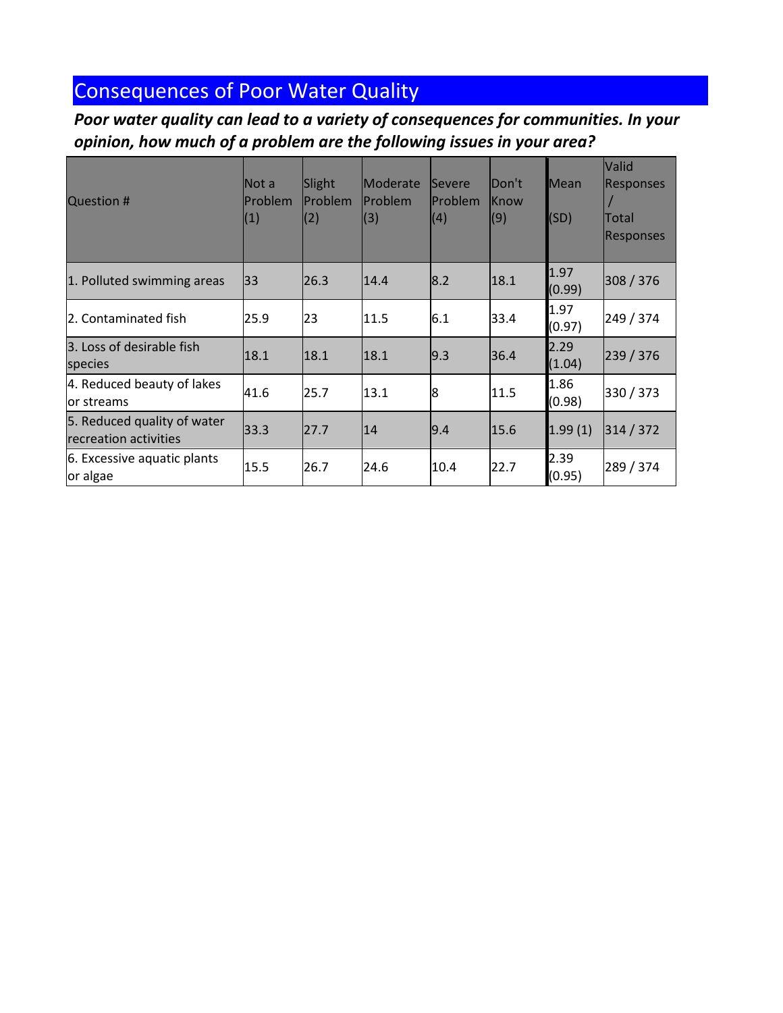# Consequences of Poor Water Quality

*Poor water quality can lead to a variety of consequences for communities. In your opinion, how much of a problem are the following issues in your area?*

| <b>Question #</b>                                    | lNot a<br>Problem<br>(1) | Slight<br>Problem<br>(2) | Moderate<br>Problem<br>(3) | <b>Severe</b><br>Problem<br>(4) | Don't<br>lKnow<br>(9) | <b>Mean</b><br>(SD) | Valid<br><b>Responses</b><br>Total<br><b>Responses</b> |
|------------------------------------------------------|--------------------------|--------------------------|----------------------------|---------------------------------|-----------------------|---------------------|--------------------------------------------------------|
| 1. Polluted swimming areas                           | 33                       | 26.3                     | 14.4                       | 8.2                             | 18.1                  | 1.97<br>(0.99)      | 308 / 376                                              |
| 2. Contaminated fish                                 | 25.9                     | 23                       | 11.5                       | 6.1                             | 33.4                  | 1.97<br>(0.97)      | 249 / 374                                              |
| 3. Loss of desirable fish<br>species                 | 18.1                     | 18.1                     | 18.1                       | 9.3                             | 36.4                  | 2.29<br>(1.04)      | 239 / 376                                              |
| 4. Reduced beauty of lakes<br>lor streams            | 41.6                     | 25.7                     | 13.1                       | 8                               | 11.5                  | 1.86<br>(0.98)      | 330 / 373                                              |
| 5. Reduced quality of water<br>recreation activities | 33.3                     | 27.7                     | 14                         | 9.4                             | 15.6                  | 1.99(1)             | 314 / 372                                              |
| 6. Excessive aquatic plants<br>or algae              | 15.5                     | 26.7                     | 24.6                       | 10.4                            | 22.7                  | 2.39<br>(0.95)      | 289 / 374                                              |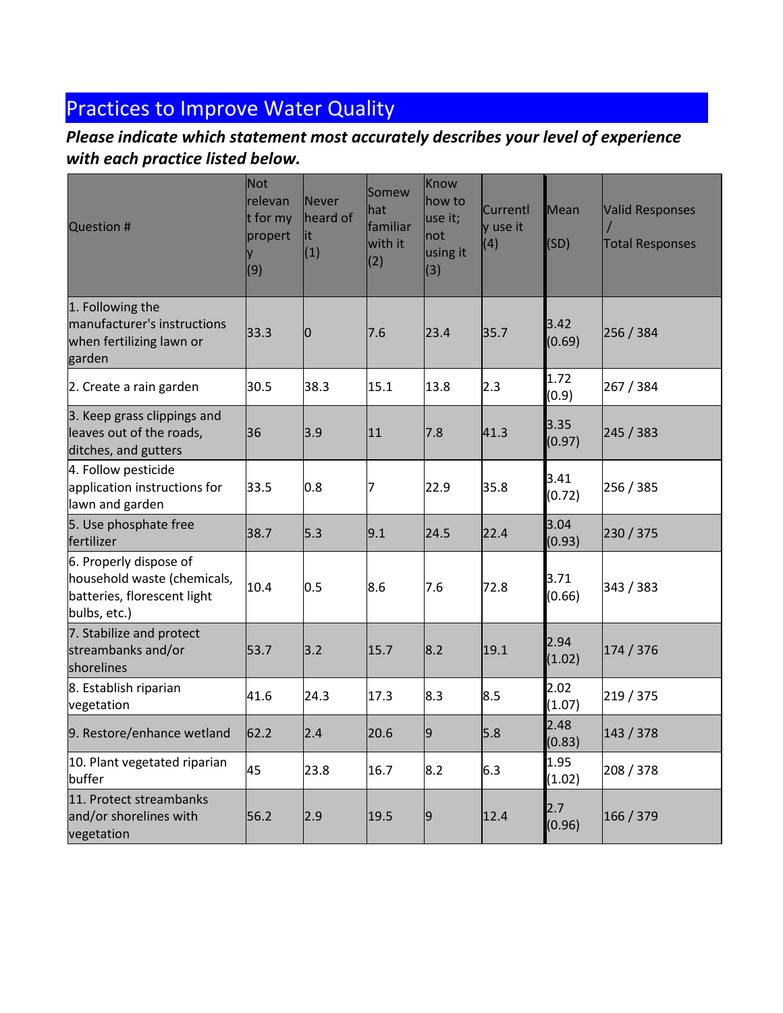# **Practices to Improve Water Quality**

### *Please indicate which statement most accurately describes your level of experience with each practice listed below.*

| <b>Question #</b>                                                                                    | <b>Not</b><br>relevan<br>t for my<br>propert<br>(9) | Never<br>heard of<br>lit<br>(1) | Somew<br>hat<br>familiar<br>with it<br>(2) | Know<br>how to<br>use it;<br>not<br>using it<br>(3) | Currentl<br>y use it<br>(4) | Mean<br>(SD)   | <b>Valid Responses</b><br><b>Total Responses</b> |
|------------------------------------------------------------------------------------------------------|-----------------------------------------------------|---------------------------------|--------------------------------------------|-----------------------------------------------------|-----------------------------|----------------|--------------------------------------------------|
| 1. Following the<br>manufacturer's instructions<br>when fertilizing lawn or<br>garden                | 33.3                                                | 0                               | 7.6                                        | 23.4                                                | 35.7                        | 3.42<br>(0.69) | 256 / 384                                        |
| 2. Create a rain garden                                                                              | 30.5                                                | 38.3                            | 15.1                                       | 13.8                                                | 2.3                         | 1.72<br>(0.9)  | 267 / 384                                        |
| 3. Keep grass clippings and<br>leaves out of the roads,<br>ditches, and gutters                      | 36                                                  | 3.9                             | 11                                         | 7.8                                                 | 41.3                        | 3.35<br>(0.97) | 245 / 383                                        |
| 4. Follow pesticide<br>application instructions for<br>lawn and garden                               | 33.5                                                | 0.8                             | 7                                          | 22.9                                                | 35.8                        | 3.41<br>(0.72) | 256 / 385                                        |
| 5. Use phosphate free<br>fertilizer                                                                  | 38.7                                                | 5.3                             | 9.1                                        | 24.5                                                | 22.4                        | 3.04<br>(0.93) | 230/375                                          |
| 6. Properly dispose of<br>household waste (chemicals,<br>batteries, florescent light<br>bulbs, etc.) | 10.4                                                | 0.5                             | 8.6                                        | 7.6                                                 | 72.8                        | 3.71<br>(0.66) | 343 / 383                                        |
| 7. Stabilize and protect<br>streambanks and/or<br>shorelines                                         | 53.7                                                | 3.2                             | 15.7                                       | 8.2                                                 | 19.1                        | 2.94<br>(1.02) | 174 / 376                                        |
| 8. Establish riparian<br>vegetation                                                                  | 41.6                                                | 24.3                            | 17.3                                       | 8.3                                                 | 8.5                         | 2.02<br>(1.07) | 219 / 375                                        |
| 9. Restore/enhance wetland                                                                           | 62.2                                                | 2.4                             | 20.6                                       | l9                                                  | 5.8                         | 2.48<br>(0.83) | 143 / 378                                        |
| 10. Plant vegetated riparian<br>buffer                                                               | 45                                                  | 23.8                            | 16.7                                       | 8.2                                                 | 6.3                         | 1.95<br>(1.02) | 208 / 378                                        |
| 11. Protect streambanks<br>and/or shorelines with<br>vegetation                                      | 56.2                                                | 2.9                             | 19.5                                       | $\overline{9}$                                      | 12.4                        | 2.7<br>(0.96)  | 166 / 379                                        |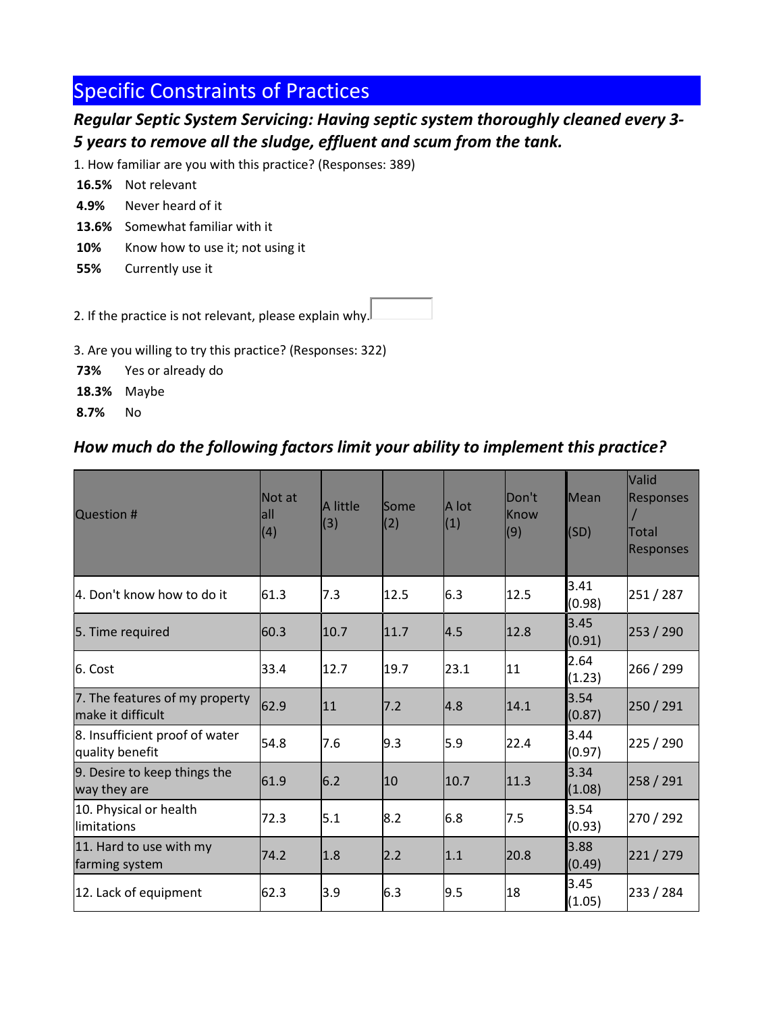# Specific Constraints of Practices

#### *Regular Septic System Servicing: Having septic system thoroughly cleaned every 3- 5 years to remove all the sludge, effluent and scum from the tank.*

1. How familiar are you with this practice? (Responses: 389)

- **16.5%** Not relevant
- **4.9%** Never heard of it
- **13.6%** Somewhat familiar with it
- 10% Know how to use it; not using it
- **55%** Currently use it

2. If the practice is not relevant, please explain why.

3. Are you willing to try this practice? (Responses: 322)

- **73%** Yes or already do
- **18.3%** Maybe

**8.7%** No

#### *How much do the following factors limit your ability to implement this practice?*

| <b>Question #</b>                                   | Not at<br>lall<br>(4) | A little<br>(3) | lSome<br>(2) | A lot<br>(1) | Don't<br>Know<br>(9) | Mean<br>(SD)   | <b>Valid</b><br><b>Responses</b><br>Total<br><b>Responses</b> |
|-----------------------------------------------------|-----------------------|-----------------|--------------|--------------|----------------------|----------------|---------------------------------------------------------------|
| 4. Don't know how to do it                          | 61.3                  | 7.3             | 12.5         | 6.3          | 12.5                 | 3.41<br>(0.98) | 251 / 287                                                     |
| 5. Time required                                    | 60.3                  | 10.7            | 11.7         | 4.5          | 12.8                 | 3.45<br>(0.91) | 253 / 290                                                     |
| 6. Cost                                             | 33.4                  | 12.7            | 19.7         | 23.1         | 11                   | 2.64<br>(1.23) | 266 / 299                                                     |
| 7. The features of my property<br>make it difficult | 62.9                  | 11              | 7.2          | 4.8          | 14.1                 | 3.54<br>(0.87) | 250 / 291                                                     |
| 8. Insufficient proof of water<br>quality benefit   | 54.8                  | 7.6             | 9.3          | 5.9          | 22.4                 | 3.44<br>(0.97) | 225 / 290                                                     |
| 9. Desire to keep things the<br>way they are        | 61.9                  | 6.2             | 10           | 10.7         | 11.3                 | 3.34<br>(1.08) | 258 / 291                                                     |
| 10. Physical or health<br>llimitations              | 72.3                  | 5.1             | 8.2          | 6.8          | 7.5                  | 3.54<br>(0.93) | 270 / 292                                                     |
| 11. Hard to use with my<br>farming system           | 74.2                  | 1.8             | 2.2          | 1.1          | 20.8                 | 3.88<br>(0.49) | 221/279                                                       |
| 12. Lack of equipment                               | 62.3                  | 3.9             | 6.3          | 9.5          | 18                   | 3.45<br>(1.05) | 233 / 284                                                     |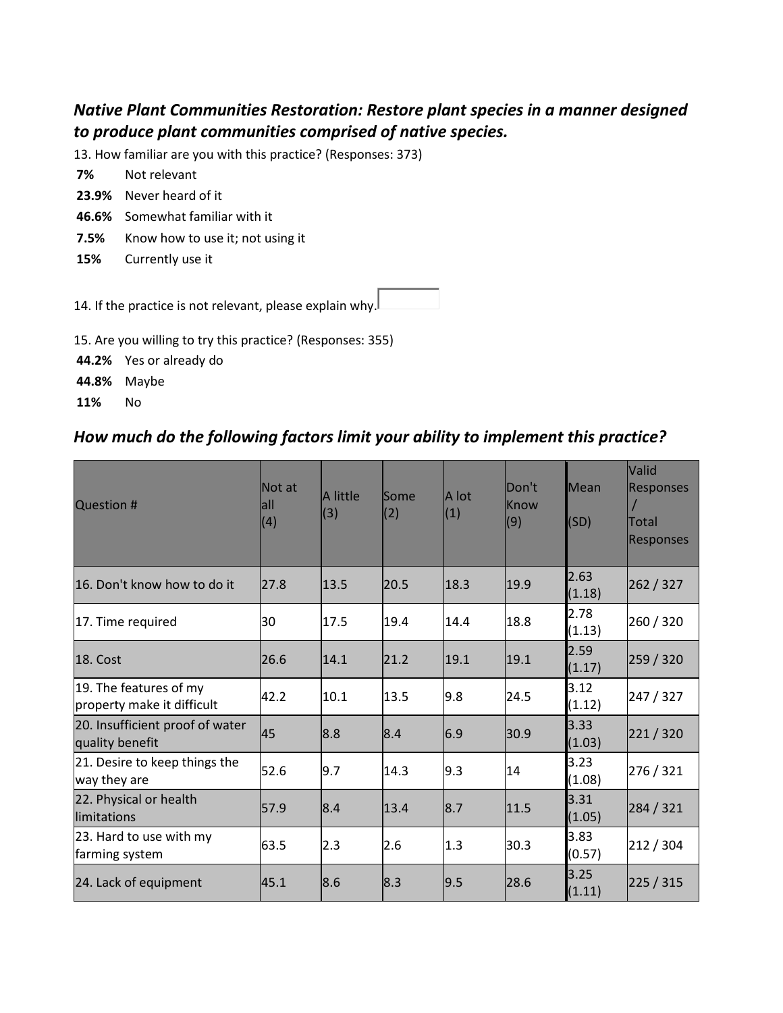#### *Native Plant Communities Restoration: Restore plant species in a manner designed to produce plant communities comprised of native species.*

13. How familiar are you with this practice? (Responses: 373)

- **7%** Not relevant
- **23.9%** Never heard of it
- **46.6%** Somewhat familiar with it
- **7.5%** Know how to use it; not using it
- **15%** Currently use it

14. If the practice is not relevant, please explain why.

15. Are you willing to try this practice? (Responses: 355)

**44.2%** Yes or already do

**44.8%** Maybe

**11%** No

#### *How much do the following factors limit your ability to implement this practice?*

| Question #                                           | Not at<br>lall<br>(4) | A little<br>(3) | lSome<br>(2) | A lot<br>(1) | <b>Don't</b><br>Know<br>(9) | Mean<br>(SD)   | Valid<br><b>Responses</b><br><b>Total</b><br><b>Responses</b> |
|------------------------------------------------------|-----------------------|-----------------|--------------|--------------|-----------------------------|----------------|---------------------------------------------------------------|
| 16. Don't know how to do it                          | 127.8                 | 13.5            | 20.5         | 18.3         | 19.9                        | 2.63<br>(1.18) | 262 / 327                                                     |
| 17. Time required                                    | 30                    | 17.5            | 19.4         | 14.4         | 18.8                        | 2.78<br>(1.13) | 260 / 320                                                     |
| 18. Cost                                             | 26.6                  | 14.1            | 21.2         | 19.1         | 19.1                        | 2.59<br>(1.17) | 259 / 320                                                     |
| 19. The features of my<br>property make it difficult | 42.2                  | 10.1            | 13.5         | 9.8          | 24.5                        | 3.12<br>(1.12) | 247 / 327                                                     |
| 20. Insufficient proof of water<br>quality benefit   | <b>45</b>             | 8.8             | 8.4          | 6.9          | 30.9                        | 3.33<br>(1.03) | 221/320                                                       |
| 21. Desire to keep things the<br>way they are        | 52.6                  | 9.7             | 14.3         | 9.3          | 14                          | 3.23<br>(1.08) | 276 / 321                                                     |
| 22. Physical or health<br>limitations                | 57.9                  | 8.4             | 13.4         | 8.7          | 11.5                        | 3.31<br>(1.05) | 284 / 321                                                     |
| 23. Hard to use with my<br>farming system            | 63.5                  | 2.3             | 2.6          | 1.3          | 30.3                        | 3.83<br>(0.57) | 212 / 304                                                     |
| 24. Lack of equipment                                | 45.1                  | 8.6             | 8.3          | 9.5          | 28.6                        | 3.25<br>(1.11) | 225 / 315                                                     |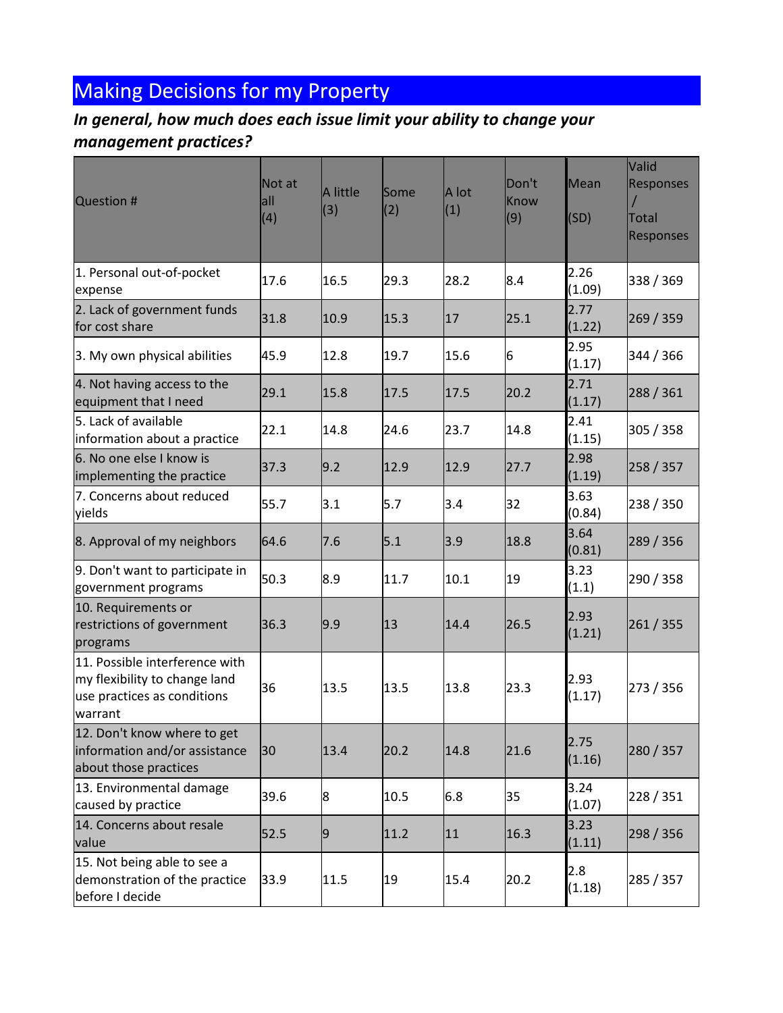# Making Decisions for my Property

### *In general, how much does each issue limit your ability to change your management practices?*

| <b>Question #</b>                                                                                         | Not at<br>all<br>(4) | A little<br>(3) | Some<br>(2) | A lot<br>(1) | Don't<br><b>Know</b><br>(9) | Mean<br>(SD)   | Valid<br><b>Responses</b><br><b>Total</b><br><b>Responses</b> |
|-----------------------------------------------------------------------------------------------------------|----------------------|-----------------|-------------|--------------|-----------------------------|----------------|---------------------------------------------------------------|
| 1. Personal out-of-pocket<br>expense                                                                      | 17.6                 | 16.5            | 29.3        | 28.2         | 8.4                         | 2.26<br>(1.09) | 338 / 369                                                     |
| 2. Lack of government funds<br>for cost share                                                             | 31.8                 | 10.9            | 15.3        | 17           | 25.1                        | 2.77<br>(1.22) | 269 / 359                                                     |
| 3. My own physical abilities                                                                              | 45.9                 | 12.8            | 19.7        | 15.6         | 6                           | 2.95<br>(1.17) | 344 / 366                                                     |
| 4. Not having access to the<br>equipment that I need                                                      | 29.1                 | 15.8            | 17.5        | 17.5         | 20.2                        | 2.71<br>(1.17) | 288 / 361                                                     |
| 5. Lack of available<br>information about a practice                                                      | 22.1                 | 14.8            | 24.6        | 23.7         | 14.8                        | 2.41<br>(1.15) | 305 / 358                                                     |
| 6. No one else I know is<br>implementing the practice                                                     | 37.3                 | 9.2             | 12.9        | 12.9         | 27.7                        | 2.98<br>(1.19) | 258 / 357                                                     |
| 7. Concerns about reduced<br>yields                                                                       | 55.7                 | 3.1             | 5.7         | 3.4          | 32                          | 3.63<br>(0.84) | 238 / 350                                                     |
| 8. Approval of my neighbors                                                                               | 64.6                 | 7.6             | 5.1         | 3.9          | 18.8                        | 3.64<br>(0.81) | 289 / 356                                                     |
| 9. Don't want to participate in<br>government programs                                                    | 50.3                 | 8.9             | 11.7        | 10.1         | 19                          | 3.23<br>(1.1)  | 290 / 358                                                     |
| 10. Requirements or<br>restrictions of government<br>programs                                             | 36.3                 | 9.9             | 13          | 14.4         | 26.5                        | 2.93<br>(1.21) | 261 / 355                                                     |
| 11. Possible interference with<br>my flexibility to change land<br>use practices as conditions<br>warrant | 36                   | 13.5            | 13.5        | 13.8         | 23.3                        | 2.93<br>(1.17) | 273 / 356                                                     |
| 12. Don't know where to get<br>information and/or assistance<br>about those practices                     | 30                   | 13.4            | 20.2        | 14.8         | 21.6                        | 2.75<br>(1.16) | 280 / 357                                                     |
| 13. Environmental damage<br>caused by practice                                                            | 39.6                 | 8               | 10.5        | 6.8          | 35                          | 3.24<br>(1.07) | 228 / 351                                                     |
| 14. Concerns about resale<br>value                                                                        | 52.5                 | 9               | 11.2        | 11           | 16.3                        | 3.23<br>(1.11) | 298 / 356                                                     |
| 15. Not being able to see a<br>demonstration of the practice<br>before I decide                           | 33.9                 | 11.5            | 19          | 15.4         | 20.2                        | 2.8<br>(1.18)  | 285 / 357                                                     |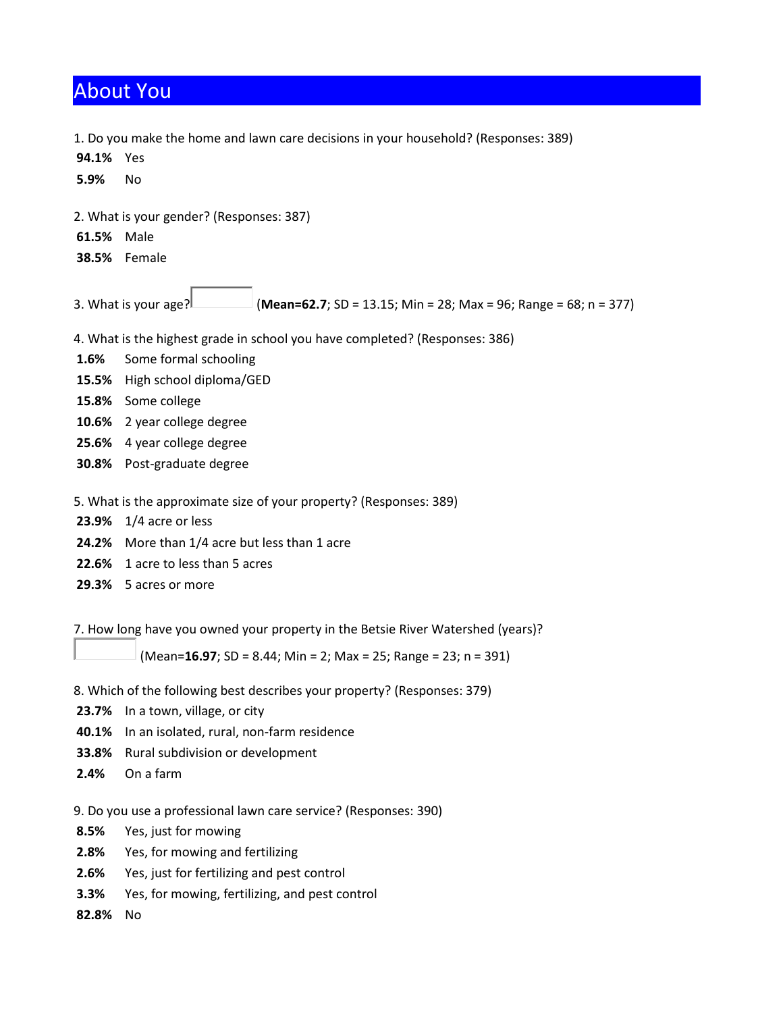### About You

1. Do you make the home and lawn care decisions in your household? (Responses: 389)

**94.1%** Yes **5.9%** No 2. What is your gender? (Responses: 387) **61.5%** Male **38.5%** Female 3. What is your age? (**Mean=62.7**; SD = 13.15; Min = 28; Max = 96; Range = 68; n = 377) 4. What is the highest grade in school you have completed? (Responses: 386) **1.6%** Some formal schooling **15.5%** High school diploma/GED **15.8%** Some college **10.6%** 2 year college degree **25.6%** 4 year college degree **30.8%** Post-graduate degree 5. What is the approximate size of your property? (Responses: 389) **23.9%** 1/4 acre or less **24.2%** More than 1/4 acre but less than 1 acre **22.6%** 1 acre to less than 5 acres **29.3%** 5 acres or more 7. How long have you owned your property in the Betsie River Watershed (years)? (Mean=**16.97**; SD = 8.44; Min = 2; Max = 25; Range = 23; n = 391) 8. Which of the following best describes your property? (Responses: 379) **23.7%** In a town, village, or city

- **40.1%** In an isolated, rural, non-farm residence
- **33.8%** Rural subdivision or development
- **2.4%** On a farm

9. Do you use a professional lawn care service? (Responses: 390)

- **8.5%** Yes, just for mowing
- **2.8%** Yes, for mowing and fertilizing
- **2.6%** Yes, just for fertilizing and pest control
- **3.3%** Yes, for mowing, fertilizing, and pest control

**82.8%** No